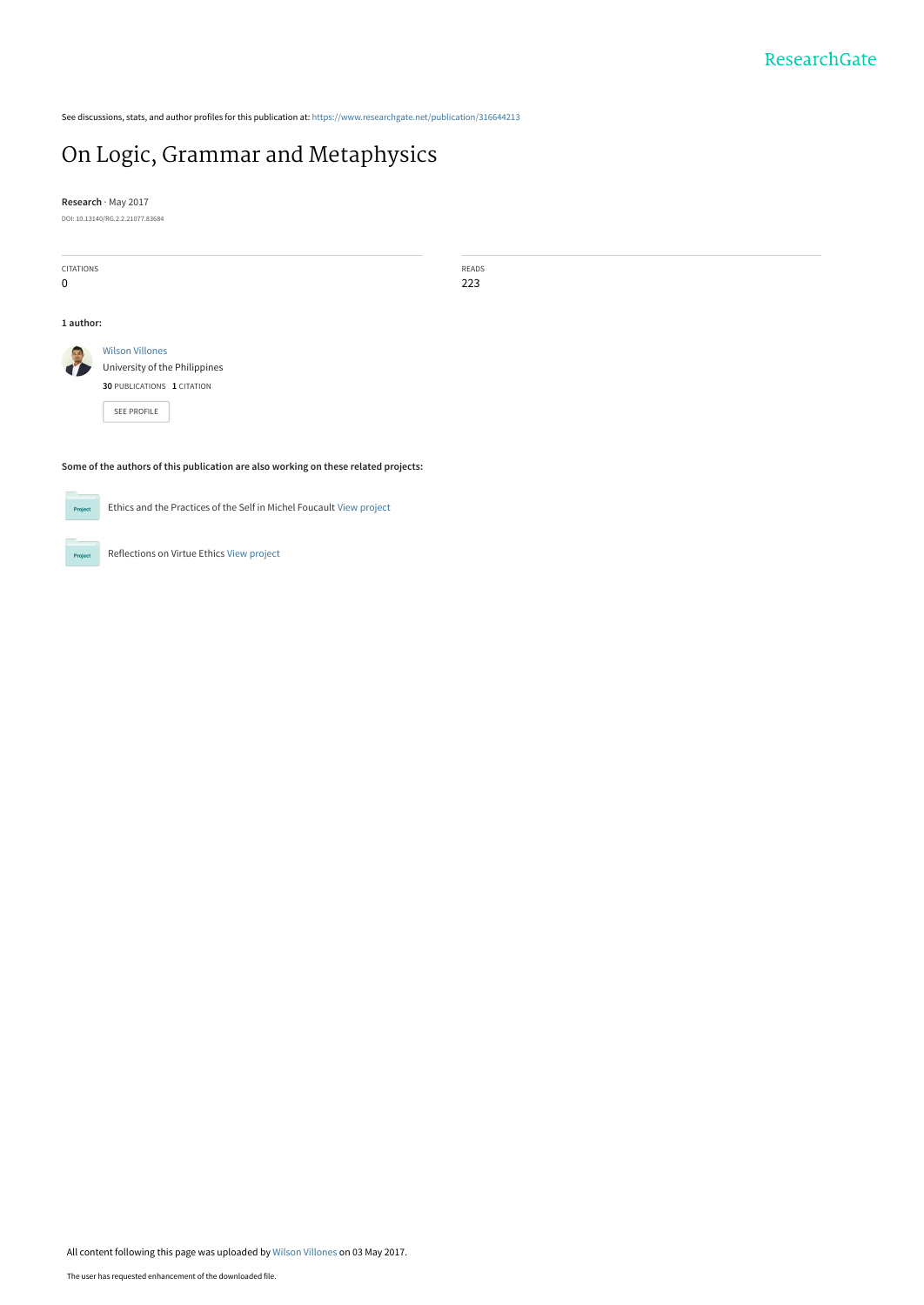See discussions, stats, and author profiles for this publication at: [https://www.researchgate.net/publication/316644213](https://www.researchgate.net/publication/316644213_On_Logic_Grammar_and_Metaphysics?enrichId=rgreq-921de737686b1cbf1addc873540600a8-XXX&enrichSource=Y292ZXJQYWdlOzMxNjY0NDIxMztBUzo0ODk4MzgxNjUxMzk0NTZAMTQ5Mzc5NzkyNzU4NQ%3D%3D&el=1_x_2&_esc=publicationCoverPdf)

## [On Logic, Grammar and Metaphysics](https://www.researchgate.net/publication/316644213_On_Logic_Grammar_and_Metaphysics?enrichId=rgreq-921de737686b1cbf1addc873540600a8-XXX&enrichSource=Y292ZXJQYWdlOzMxNjY0NDIxMztBUzo0ODk4MzgxNjUxMzk0NTZAMTQ5Mzc5NzkyNzU4NQ%3D%3D&el=1_x_3&_esc=publicationCoverPdf)

**Research** · May 2017 DOI: 10.13140/RG.2.2.21077.83684

| <b>CITATIONS</b>                                                                    |                               | READS |
|-------------------------------------------------------------------------------------|-------------------------------|-------|
| 0                                                                                   |                               | 223   |
|                                                                                     |                               |       |
|                                                                                     |                               |       |
| 1 author:                                                                           |                               |       |
|                                                                                     |                               |       |
|                                                                                     | <b>Wilson Villones</b>        |       |
|                                                                                     | University of the Philippines |       |
|                                                                                     | 30 PUBLICATIONS 1 CITATION    |       |
|                                                                                     | SEE PROFILE                   |       |
|                                                                                     |                               |       |
|                                                                                     |                               |       |
|                                                                                     |                               |       |
| Some of the authors of this publication are also working on these related projects: |                               |       |



 $Pro$ 

Ethics and the Practices of the Self in Michel Foucault [View project](https://www.researchgate.net/project/Ethics-and-the-Practices-of-the-Self-in-Michel-Foucault?enrichId=rgreq-921de737686b1cbf1addc873540600a8-XXX&enrichSource=Y292ZXJQYWdlOzMxNjY0NDIxMztBUzo0ODk4MzgxNjUxMzk0NTZAMTQ5Mzc5NzkyNzU4NQ%3D%3D&el=1_x_9&_esc=publicationCoverPdf)

Reflections on Virtue Ethics [View project](https://www.researchgate.net/project/Reflections-on-Virtue-Ethics?enrichId=rgreq-921de737686b1cbf1addc873540600a8-XXX&enrichSource=Y292ZXJQYWdlOzMxNjY0NDIxMztBUzo0ODk4MzgxNjUxMzk0NTZAMTQ5Mzc5NzkyNzU4NQ%3D%3D&el=1_x_9&_esc=publicationCoverPdf)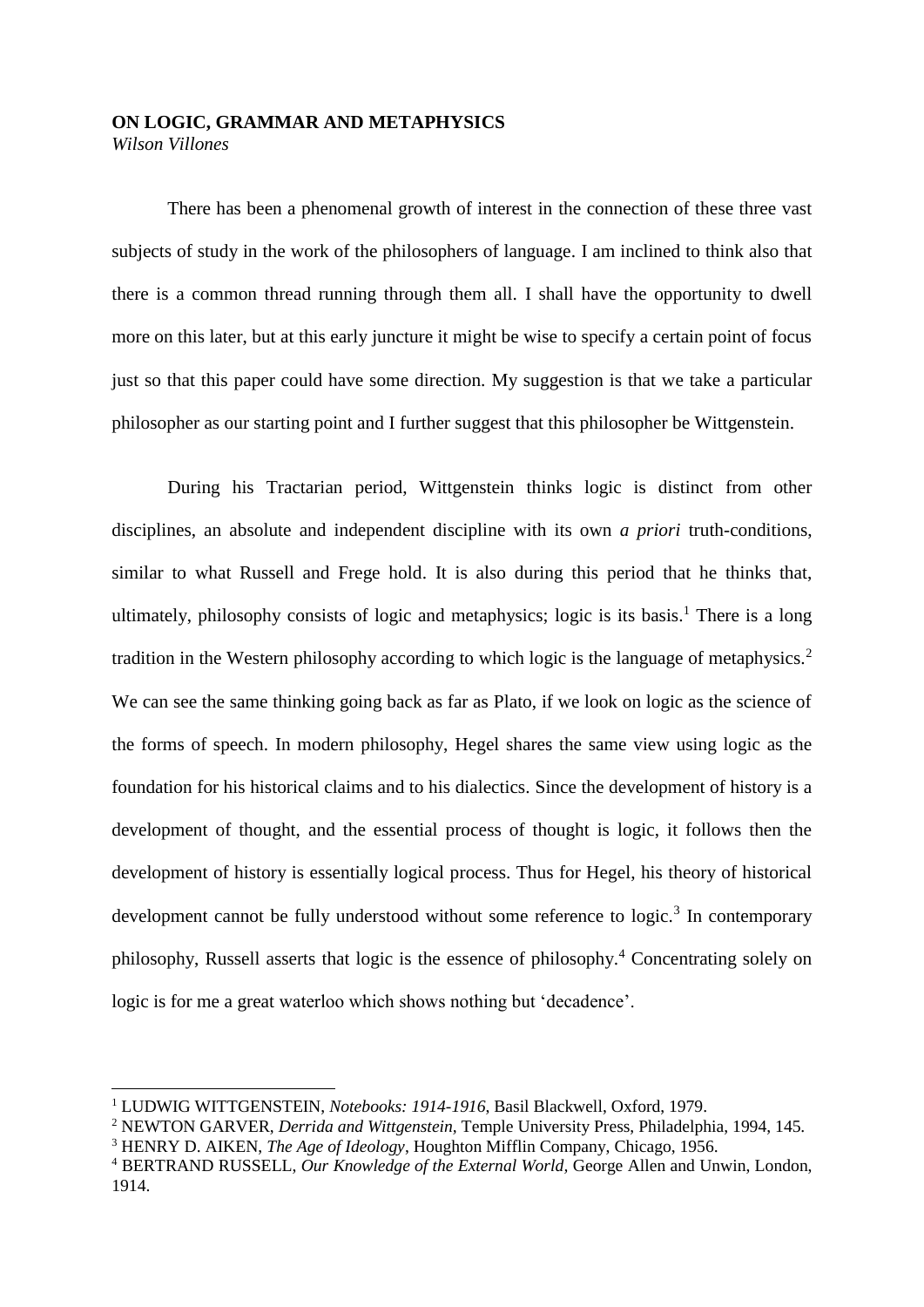## **ON LOGIC, GRAMMAR AND METAPHYSICS** *Wilson Villones*

There has been a phenomenal growth of interest in the connection of these three vast subjects of study in the work of the philosophers of language. I am inclined to think also that there is a common thread running through them all. I shall have the opportunity to dwell more on this later, but at this early juncture it might be wise to specify a certain point of focus just so that this paper could have some direction. My suggestion is that we take a particular philosopher as our starting point and I further suggest that this philosopher be Wittgenstein.

During his Tractarian period, Wittgenstein thinks logic is distinct from other disciplines, an absolute and independent discipline with its own *a priori* truth-conditions, similar to what Russell and Frege hold. It is also during this period that he thinks that, ultimately, philosophy consists of logic and metaphysics; logic is its basis.<sup>1</sup> There is a long tradition in the Western philosophy according to which logic is the language of metaphysics.<sup>2</sup> We can see the same thinking going back as far as Plato, if we look on logic as the science of the forms of speech. In modern philosophy, Hegel shares the same view using logic as the foundation for his historical claims and to his dialectics. Since the development of history is a development of thought, and the essential process of thought is logic, it follows then the development of history is essentially logical process. Thus for Hegel, his theory of historical development cannot be fully understood without some reference to  $logic$ <sup>3</sup> In contemporary philosophy, Russell asserts that logic is the essence of philosophy.<sup>4</sup> Concentrating solely on logic is for me a great waterloo which shows nothing but 'decadence'.

<sup>1</sup> LUDWIG WITTGENSTEIN, *Notebooks: 1914-1916*, Basil Blackwell, Oxford, 1979.

<sup>2</sup> NEWTON GARVER, *Derrida and Wittgenstein,* Temple University Press, Philadelphia, 1994, 145.

<sup>3</sup> HENRY D. AIKEN, *The Age of Ideology*, Houghton Mifflin Company, Chicago, 1956.

<sup>4</sup> BERTRAND RUSSELL, *Our Knowledge of the External World,* George Allen and Unwin, London, 1914.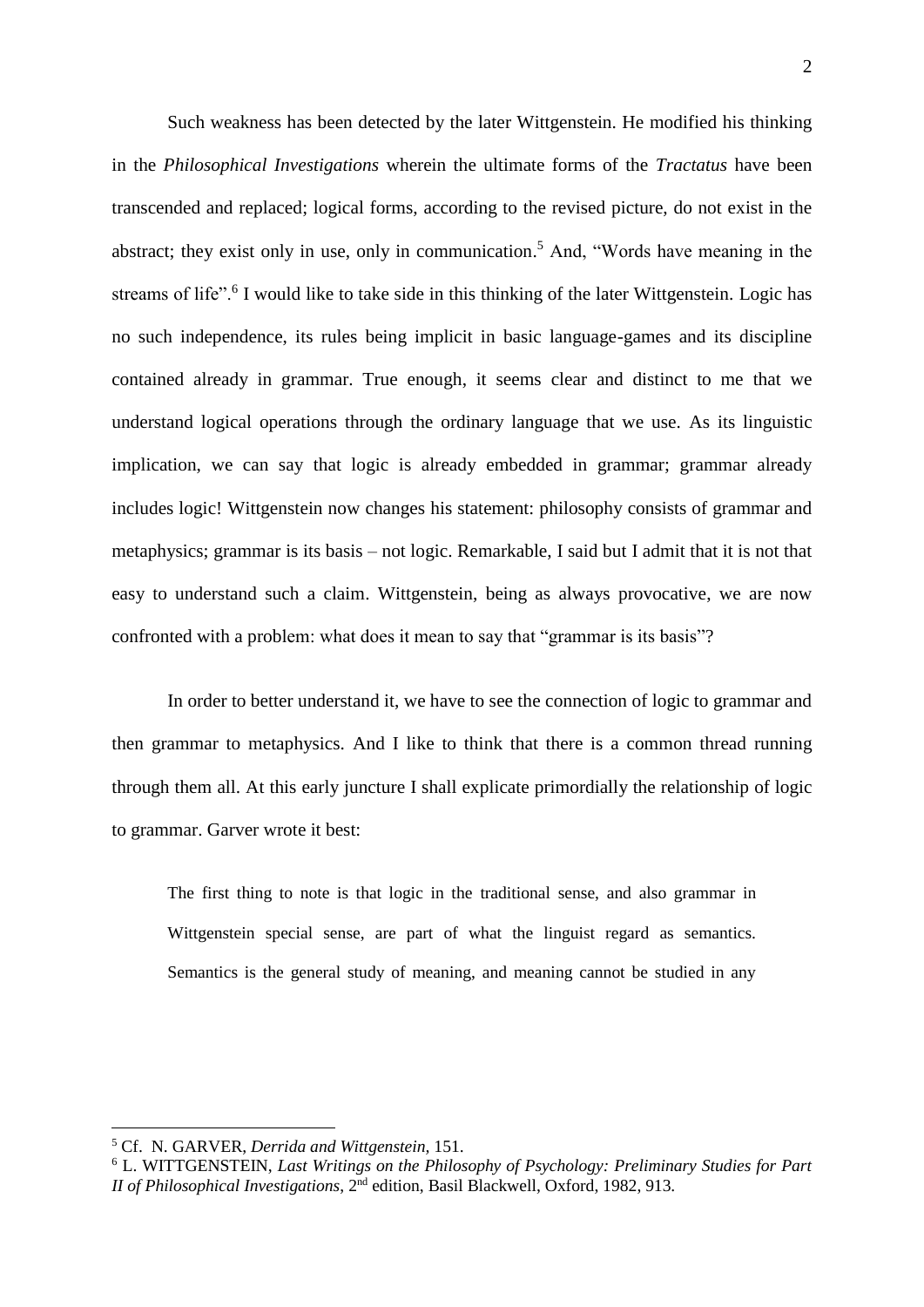Such weakness has been detected by the later Wittgenstein. He modified his thinking in the *Philosophical Investigations* wherein the ultimate forms of the *Tractatus* have been transcended and replaced; logical forms, according to the revised picture, do not exist in the abstract; they exist only in use, only in communication. <sup>5</sup> And, "Words have meaning in the streams of life".<sup>6</sup> I would like to take side in this thinking of the later Wittgenstein. Logic has no such independence, its rules being implicit in basic language-games and its discipline contained already in grammar. True enough, it seems clear and distinct to me that we understand logical operations through the ordinary language that we use. As its linguistic implication, we can say that logic is already embedded in grammar; grammar already includes logic! Wittgenstein now changes his statement: philosophy consists of grammar and metaphysics; grammar is its basis – not logic. Remarkable, I said but I admit that it is not that easy to understand such a claim. Wittgenstein, being as always provocative, we are now confronted with a problem: what does it mean to say that "grammar is its basis"?

In order to better understand it, we have to see the connection of logic to grammar and then grammar to metaphysics. And I like to think that there is a common thread running through them all. At this early juncture I shall explicate primordially the relationship of logic to grammar. Garver wrote it best:

The first thing to note is that logic in the traditional sense, and also grammar in Wittgenstein special sense, are part of what the linguist regard as semantics. Semantics is the general study of meaning, and meaning cannot be studied in any

1

<sup>5</sup> Cf. N. GARVER, *Derrida and Wittgenstein,* 151.

<sup>6</sup> L. WITTGENSTEIN, *Last Writings on the Philosophy of Psychology: Preliminary Studies for Part II of Philosophical Investigations*, 2<sup>nd</sup> edition, Basil Blackwell, Oxford, 1982, 913.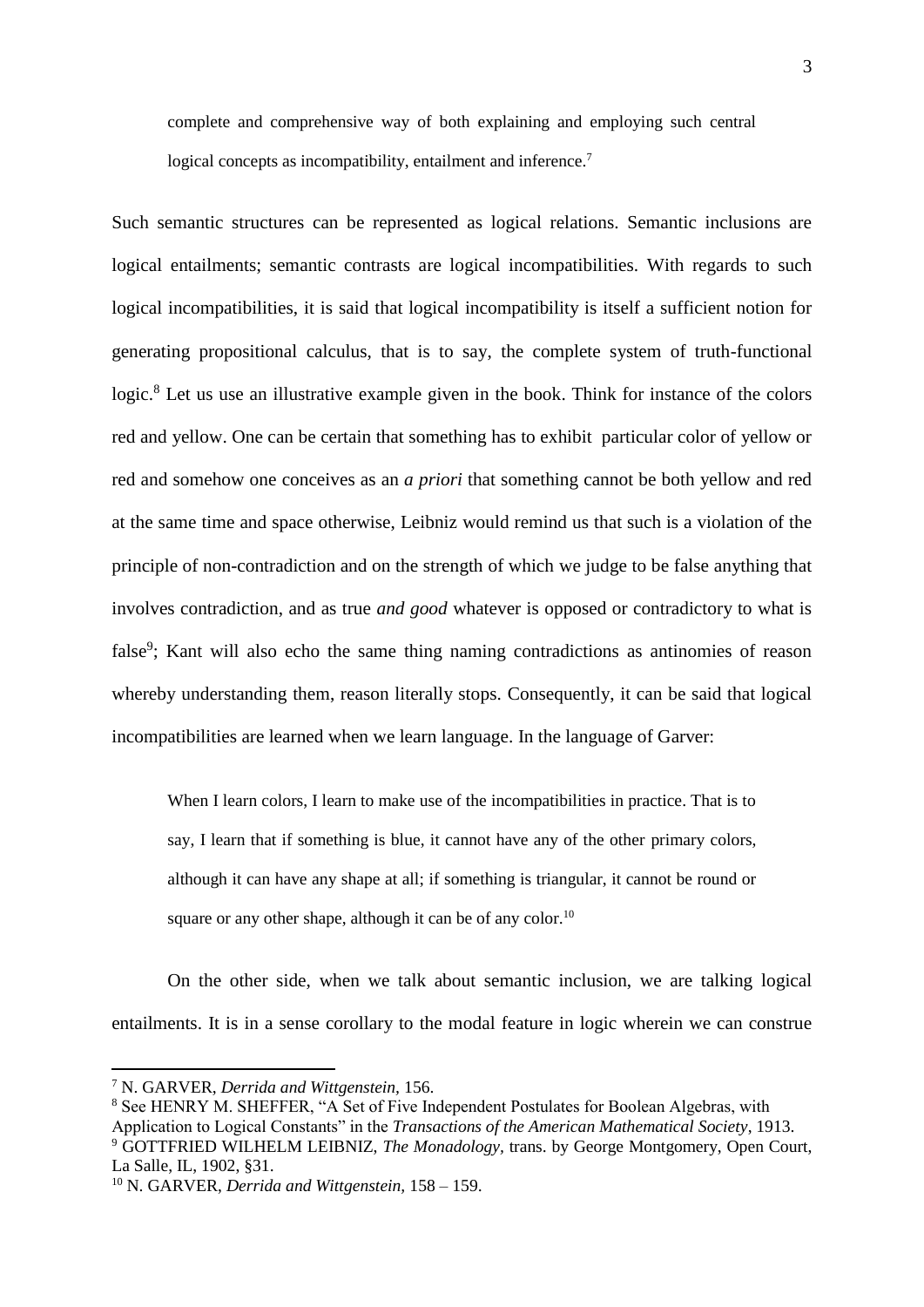complete and comprehensive way of both explaining and employing such central logical concepts as incompatibility, entailment and inference.<sup>7</sup>

Such semantic structures can be represented as logical relations. Semantic inclusions are logical entailments; semantic contrasts are logical incompatibilities. With regards to such logical incompatibilities, it is said that logical incompatibility is itself a sufficient notion for generating propositional calculus, that is to say, the complete system of truth-functional logic.<sup>8</sup> Let us use an illustrative example given in the book. Think for instance of the colors red and yellow. One can be certain that something has to exhibit particular color of yellow or red and somehow one conceives as an *a priori* that something cannot be both yellow and red at the same time and space otherwise, Leibniz would remind us that such is a violation of the principle of non-contradiction and on the strength of which we judge to be false anything that involves contradiction, and as true *and good* whatever is opposed or contradictory to what is false<sup>9</sup>; Kant will also echo the same thing naming contradictions as antinomies of reason whereby understanding them, reason literally stops. Consequently, it can be said that logical incompatibilities are learned when we learn language. In the language of Garver:

When I learn colors, I learn to make use of the incompatibilities in practice. That is to say, I learn that if something is blue, it cannot have any of the other primary colors, although it can have any shape at all; if something is triangular, it cannot be round or square or any other shape, although it can be of any color.<sup>10</sup>

On the other side, when we talk about semantic inclusion, we are talking logical entailments. It is in a sense corollary to the modal feature in logic wherein we can construe

<sup>7</sup> N. GARVER, *Derrida and Wittgenstein,* 156.

<sup>&</sup>lt;sup>8</sup> See HENRY M. SHEFFER, "A Set of Five Independent Postulates for Boolean Algebras, with Application to Logical Constants" in the *Transactions of the American Mathematical Society*, 1913. <sup>9</sup> GOTTFRIED WILHELM LEIBNIZ, *The Monadology,* trans. by George Montgomery, Open Court, La Salle, IL, 1902, §31.

<sup>10</sup> N. GARVER, *Derrida and Wittgenstein,* 158 – 159.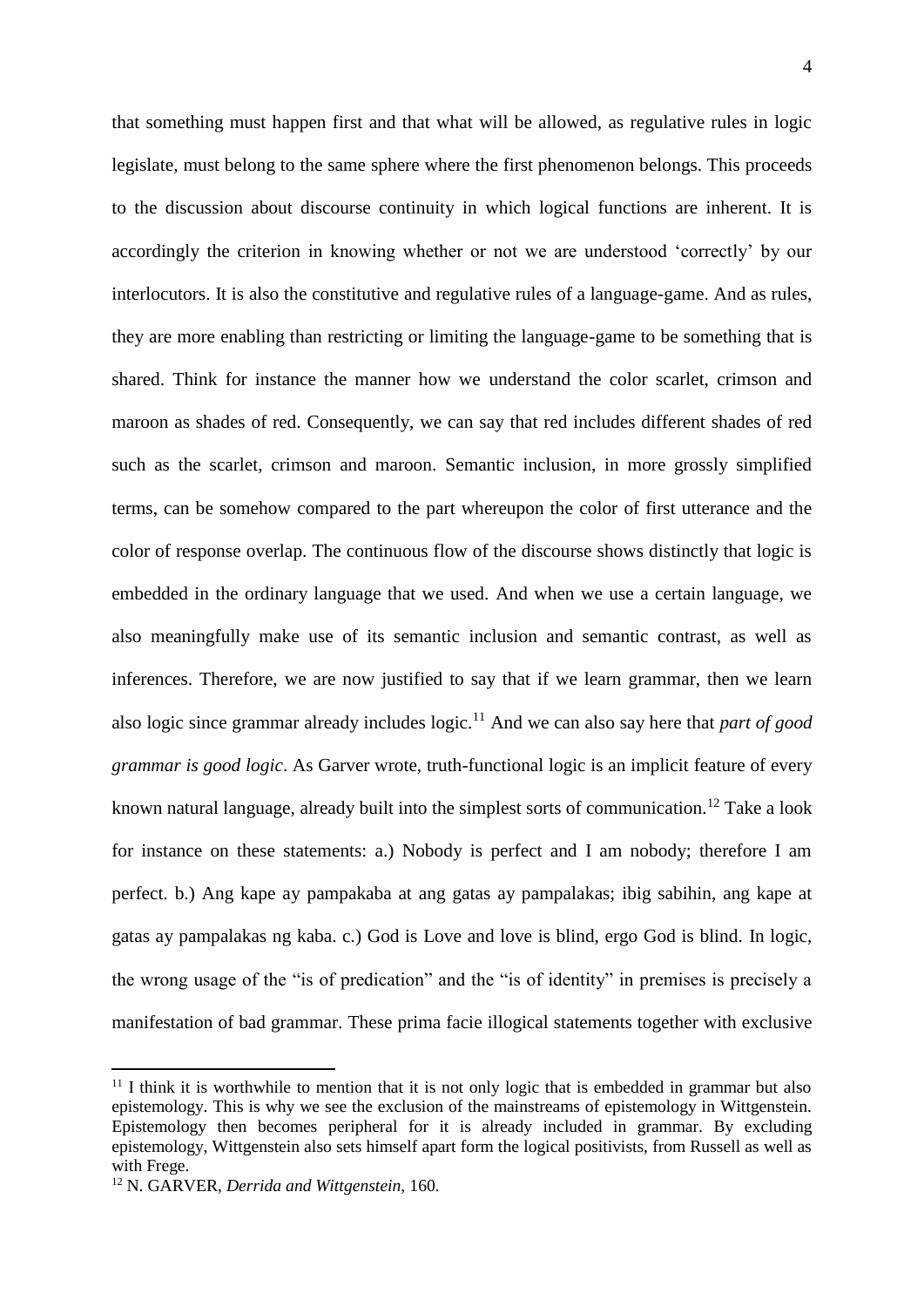that something must happen first and that what will be allowed, as regulative rules in logic legislate, must belong to the same sphere where the first phenomenon belongs. This proceeds to the discussion about discourse continuity in which logical functions are inherent. It is accordingly the criterion in knowing whether or not we are understood 'correctly' by our interlocutors. It is also the constitutive and regulative rules of a language-game. And as rules, they are more enabling than restricting or limiting the language-game to be something that is shared. Think for instance the manner how we understand the color scarlet, crimson and maroon as shades of red. Consequently, we can say that red includes different shades of red such as the scarlet, crimson and maroon. Semantic inclusion, in more grossly simplified terms, can be somehow compared to the part whereupon the color of first utterance and the color of response overlap. The continuous flow of the discourse shows distinctly that logic is embedded in the ordinary language that we used. And when we use a certain language, we also meaningfully make use of its semantic inclusion and semantic contrast, as well as inferences. Therefore, we are now justified to say that if we learn grammar, then we learn also logic since grammar already includes logic.<sup>11</sup> And we can also say here that *part of good grammar is good logic*. As Garver wrote, truth-functional logic is an implicit feature of every known natural language, already built into the simplest sorts of communication.<sup>12</sup> Take a look for instance on these statements: a.) Nobody is perfect and I am nobody; therefore I am perfect. b.) Ang kape ay pampakaba at ang gatas ay pampalakas; ibig sabihin, ang kape at gatas ay pampalakas ng kaba. c.) God is Love and love is blind, ergo God is blind. In logic, the wrong usage of the "is of predication" and the "is of identity" in premises is precisely a manifestation of bad grammar. These prima facie illogical statements together with exclusive

 $11$  I think it is worthwhile to mention that it is not only logic that is embedded in grammar but also epistemology. This is why we see the exclusion of the mainstreams of epistemology in Wittgenstein. Epistemology then becomes peripheral for it is already included in grammar. By excluding epistemology, Wittgenstein also sets himself apart form the logical positivists, from Russell as well as with Frege.

<sup>12</sup> N. GARVER, *Derrida and Wittgenstein,* 160.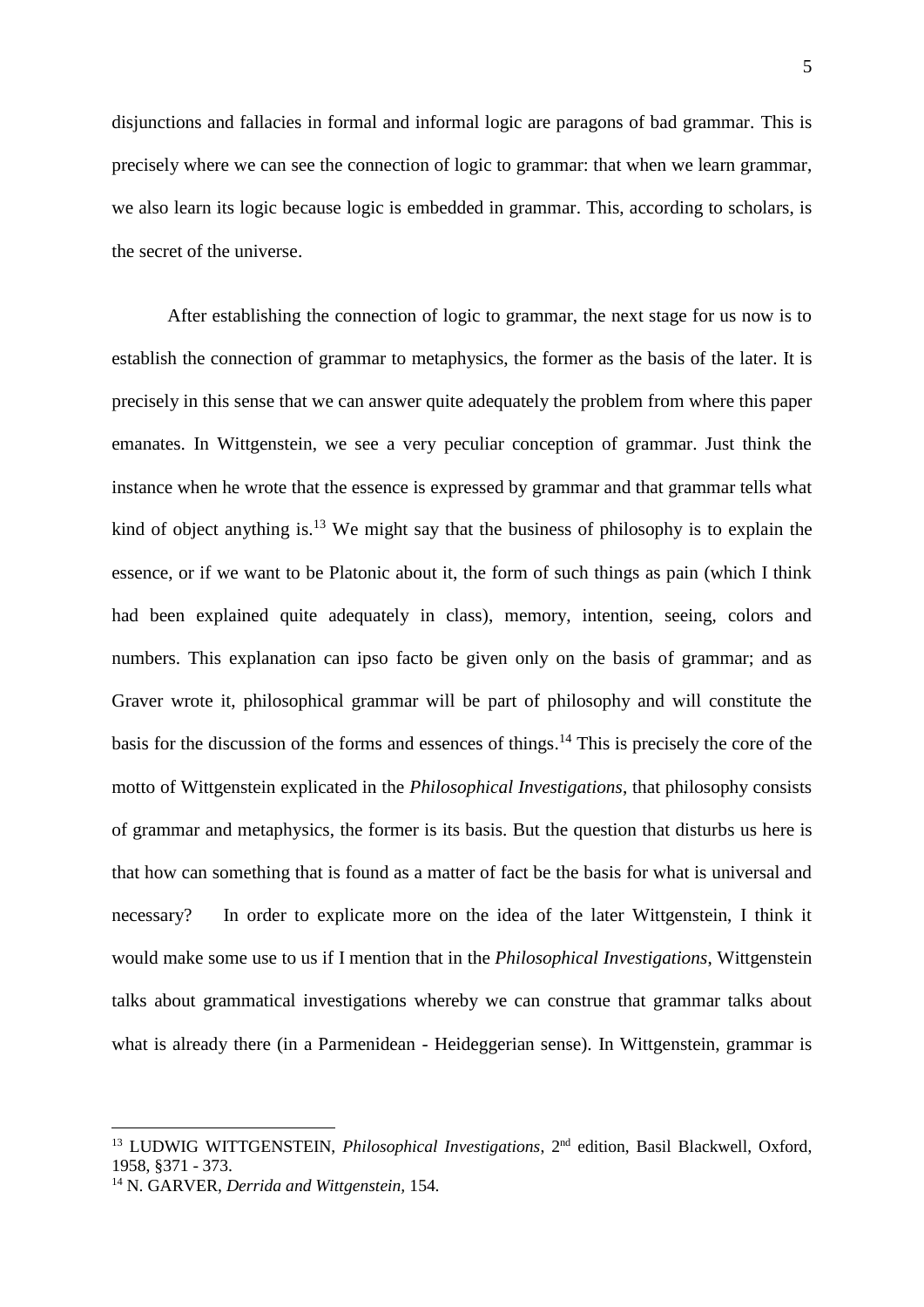disjunctions and fallacies in formal and informal logic are paragons of bad grammar. This is precisely where we can see the connection of logic to grammar: that when we learn grammar, we also learn its logic because logic is embedded in grammar. This, according to scholars, is the secret of the universe.

After establishing the connection of logic to grammar, the next stage for us now is to establish the connection of grammar to metaphysics, the former as the basis of the later. It is precisely in this sense that we can answer quite adequately the problem from where this paper emanates. In Wittgenstein, we see a very peculiar conception of grammar. Just think the instance when he wrote that the essence is expressed by grammar and that grammar tells what kind of object anything is.<sup>13</sup> We might say that the business of philosophy is to explain the essence, or if we want to be Platonic about it, the form of such things as pain (which I think had been explained quite adequately in class), memory, intention, seeing, colors and numbers. This explanation can ipso facto be given only on the basis of grammar; and as Graver wrote it, philosophical grammar will be part of philosophy and will constitute the basis for the discussion of the forms and essences of things. <sup>14</sup> This is precisely the core of the motto of Wittgenstein explicated in the *Philosophical Investigations*, that philosophy consists of grammar and metaphysics, the former is its basis. But the question that disturbs us here is that how can something that is found as a matter of fact be the basis for what is universal and necessary? In order to explicate more on the idea of the later Wittgenstein, I think it would make some use to us if I mention that in the *Philosophical Investigations*, Wittgenstein talks about grammatical investigations whereby we can construe that grammar talks about what is already there (in a Parmenidean - Heideggerian sense). In Wittgenstein, grammar is

1

<sup>&</sup>lt;sup>13</sup> LUDWIG WITTGENSTEIN, *Philosophical Investigations*, 2<sup>nd</sup> edition, Basil Blackwell, Oxford, 1958, §371 - 373.

<sup>14</sup> N. GARVER, *Derrida and Wittgenstein,* 154.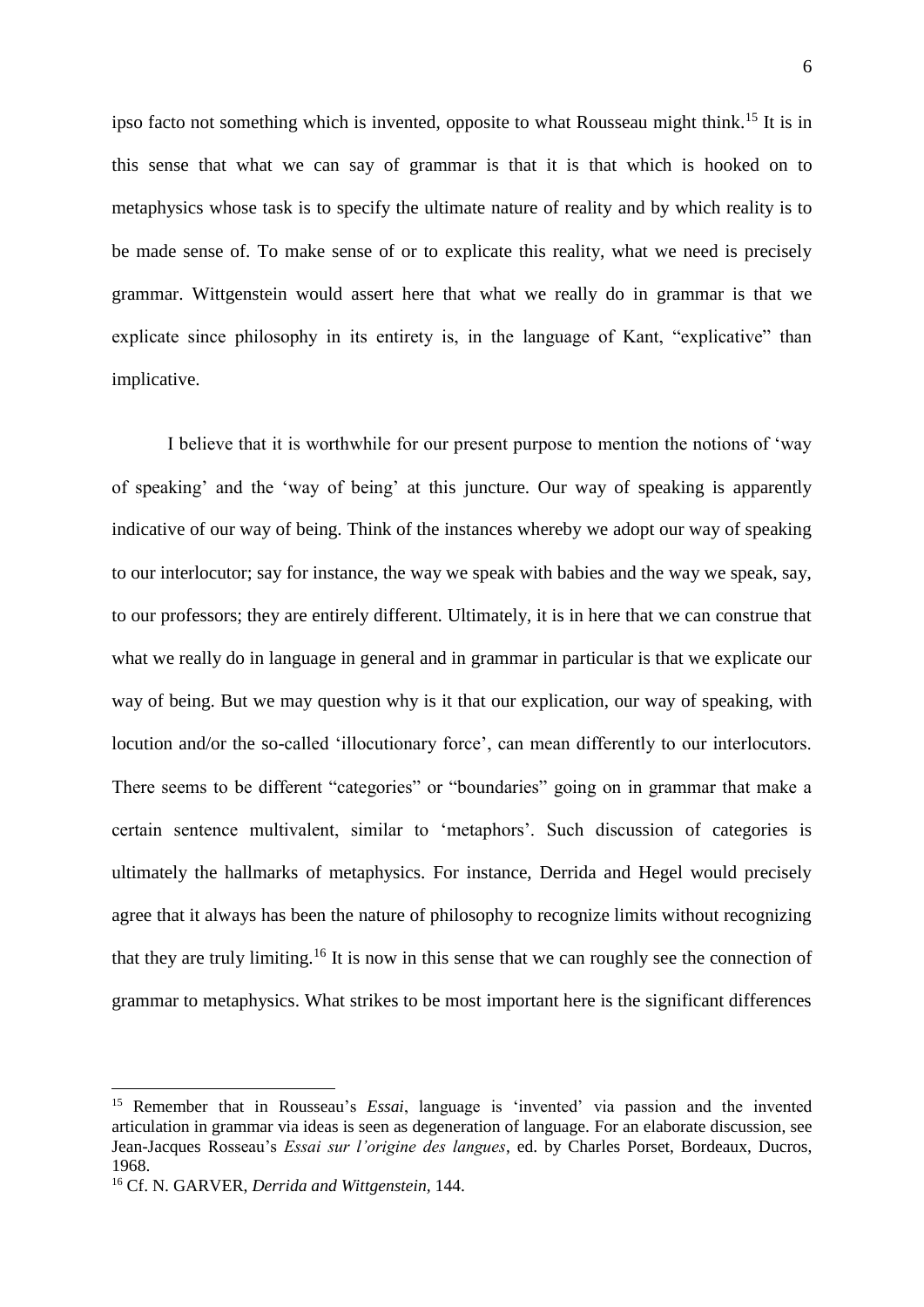ipso facto not something which is invented, opposite to what Rousseau might think.<sup>15</sup> It is in this sense that what we can say of grammar is that it is that which is hooked on to metaphysics whose task is to specify the ultimate nature of reality and by which reality is to be made sense of. To make sense of or to explicate this reality, what we need is precisely grammar. Wittgenstein would assert here that what we really do in grammar is that we explicate since philosophy in its entirety is, in the language of Kant, "explicative" than implicative.

I believe that it is worthwhile for our present purpose to mention the notions of 'way of speaking' and the 'way of being' at this juncture. Our way of speaking is apparently indicative of our way of being. Think of the instances whereby we adopt our way of speaking to our interlocutor; say for instance, the way we speak with babies and the way we speak, say, to our professors; they are entirely different. Ultimately, it is in here that we can construe that what we really do in language in general and in grammar in particular is that we explicate our way of being. But we may question why is it that our explication, our way of speaking, with locution and/or the so-called 'illocutionary force', can mean differently to our interlocutors. There seems to be different "categories" or "boundaries" going on in grammar that make a certain sentence multivalent, similar to 'metaphors'. Such discussion of categories is ultimately the hallmarks of metaphysics. For instance, Derrida and Hegel would precisely agree that it always has been the nature of philosophy to recognize limits without recognizing that they are truly limiting.<sup>16</sup> It is now in this sense that we can roughly see the connection of grammar to metaphysics. What strikes to be most important here is the significant differences

<sup>15</sup> Remember that in Rousseau's *Essai*, language is 'invented' via passion and the invented articulation in grammar via ideas is seen as degeneration of language. For an elaborate discussion, see Jean-Jacques Rosseau's *Essai sur l'origine des langues*, ed. by Charles Porset, Bordeaux, Ducros, 1968.

<sup>16</sup> Cf. N. GARVER, *Derrida and Wittgenstein,* 144.